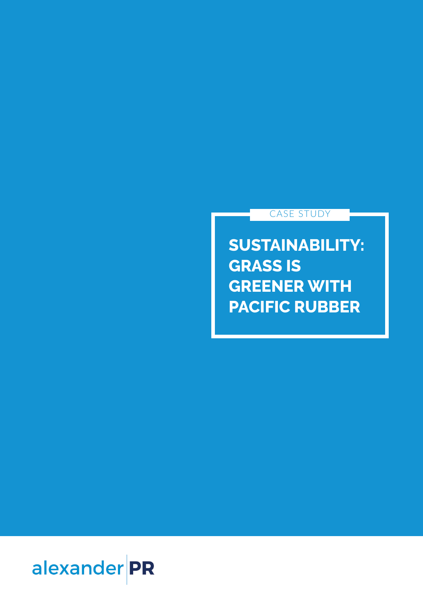

**SUSTAINABILITY: GRASS IS GREENER WITH PACIFIC RUBBER**

CASE STUDY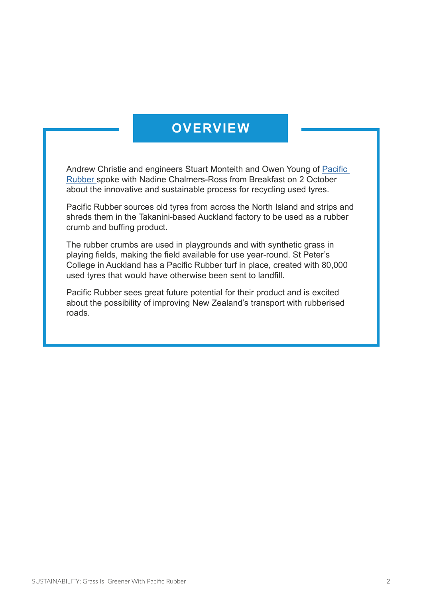## **OVERVIEW**

Andrew Christie and engineers Stuart Monteith and Owen Young of Pacific [Rubber](http://www.pacificrubber.com) spoke with Nadine Chalmers-Ross from Breakfast on 2 October about the innovative and sustainable process for recycling used tyres.

Pacific Rubber sources old tyres from across the North Island and strips and shreds them in the Takanini-based Auckland factory to be used as a rubber crumb and buffing product.

The rubber crumbs are used in playgrounds and with synthetic grass in playing fields, making the field available for use year-round. St Peter's College in Auckland has a Pacific Rubber turf in place, created with 80,000 used tyres that would have otherwise been sent to landfill.

Pacific Rubber sees great future potential for their product and is excited about the possibility of improving New Zealand's transport with rubberised roads.